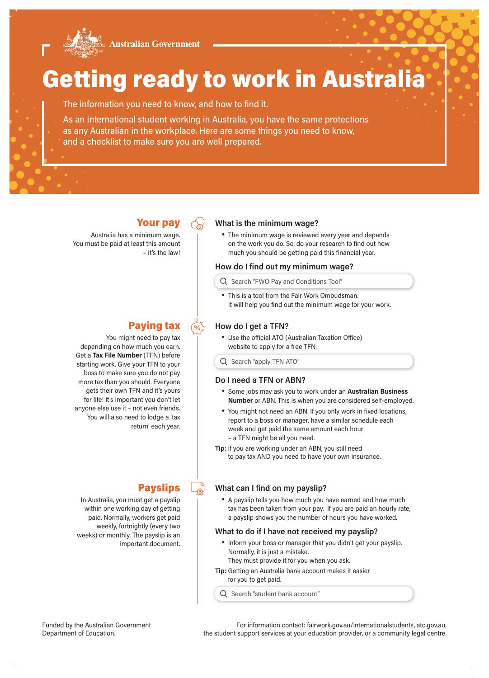

# Getting ready to work in Australia

The information you need to know, and how to find it.

As an international student working in Australia, you have the same protections as any Australian in the workplace. Here are some things you need to know, and a checklist to make sure you are well prepared.

Your pay

Australia has a minimum wage. You must be paid at least this amount – it's the law!

## Paying tax

You might need to pay tax depending on how much you earn. Get a **Tax File Number** (TFN) before starting work. Give your TFN to your boss to make sure you do not pay more tax than you should. Everyone gets their own TFN and it's yours for life! It's important you don't let anyone else use it – not even friends. You will also need to lodge a 'tax return' each year.

## **What is the minimum wage?**

• The minimum wage is reviewed every year and depends on the work you do. So, do your research to find out how much you should be getting paid this financial year.

#### **How do I find out my minimum wage?**

Q Search "FWO Pay and Conditions Tool"

• This is a tool from the Fair Work Ombudsman. It will help you find out the minimum wage for your work.

## **How do I get a TFN?**

• Use the official ATO (Australian Taxation Office) website to apply for a free TFN.

Q Search "apply TFN ATO"

#### **Do I need a TFN or ABN?**

- Some jobs may ask you to work under an **Australian Business Number** or ABN. This is when you are considered self-employed.
- You might not need an ABN. If you only work in fixed locations, report to a boss or manager, have a similar schedule each week and get paid the same amount each hour – a TFN might be all you need.
- **Tip:** If you are working under an ABN, you still need to pay tax AND you need to have your own insurance.

## **What can I find on my payslip?**

• A payslip tells you how much you have earned and how much tax has been taken from your pay. If you are paid an hourly rate, a payslip shows you the number of hours you have worked.

#### **What to do if I have not received my payslip?**

- Inform your boss or manager that you didn't get your payslip. Normally, it is just a mistake.
	- They must provide it for you when you ask.
- **Tip:** Getting an Australia bank account makes it easier for you to get paid.

 $Q$  Search "student bank account"

## **Payslips**

In Australia, you must get a payslip within one working day of getting paid. Normally, workers get paid weekly, fortnightly (every two weeks) or monthly. The payslip is an important document.

Funded by the Australian Government Department of Education.

For information contact: fairwork.gov.au/internationalstudents, ato.gov.au, the student support services at your education provider, or a community legal centre.